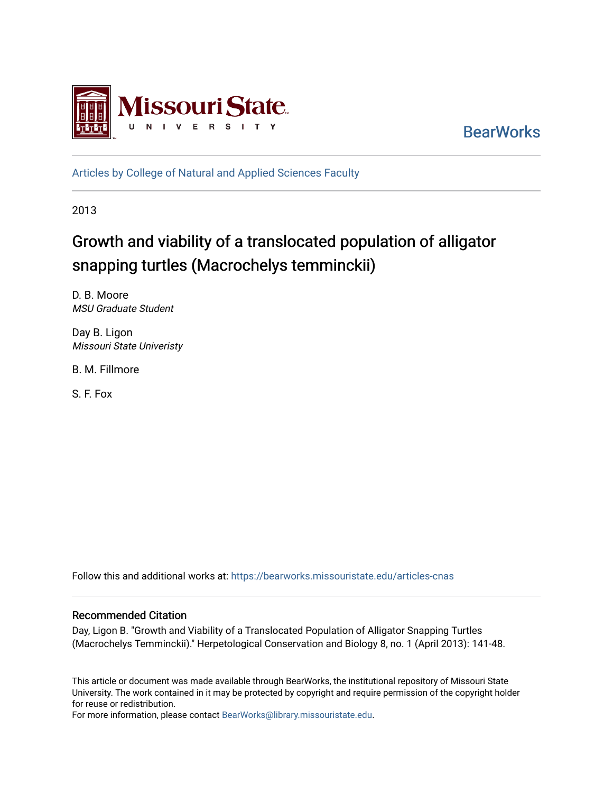

**BearWorks** 

[Articles by College of Natural and Applied Sciences Faculty](https://bearworks.missouristate.edu/articles-cnas)

2013

# Growth and viability of a translocated population of alligator snapping turtles (Macrochelys temminckii)

D. B. Moore MSU Graduate Student

Day B. Ligon Missouri State Univeristy

B. M. Fillmore

S. F. Fox

Follow this and additional works at: [https://bearworks.missouristate.edu/articles-cnas](https://bearworks.missouristate.edu/articles-cnas?utm_source=bearworks.missouristate.edu%2Farticles-cnas%2F109&utm_medium=PDF&utm_campaign=PDFCoverPages) 

### Recommended Citation

Day, Ligon B. "Growth and Viability of a Translocated Population of Alligator Snapping Turtles (Macrochelys Temminckii)." Herpetological Conservation and Biology 8, no. 1 (April 2013): 141-48.

This article or document was made available through BearWorks, the institutional repository of Missouri State University. The work contained in it may be protected by copyright and require permission of the copyright holder for reuse or redistribution.

For more information, please contact [BearWorks@library.missouristate.edu.](mailto:BearWorks@library.missouristate.edu)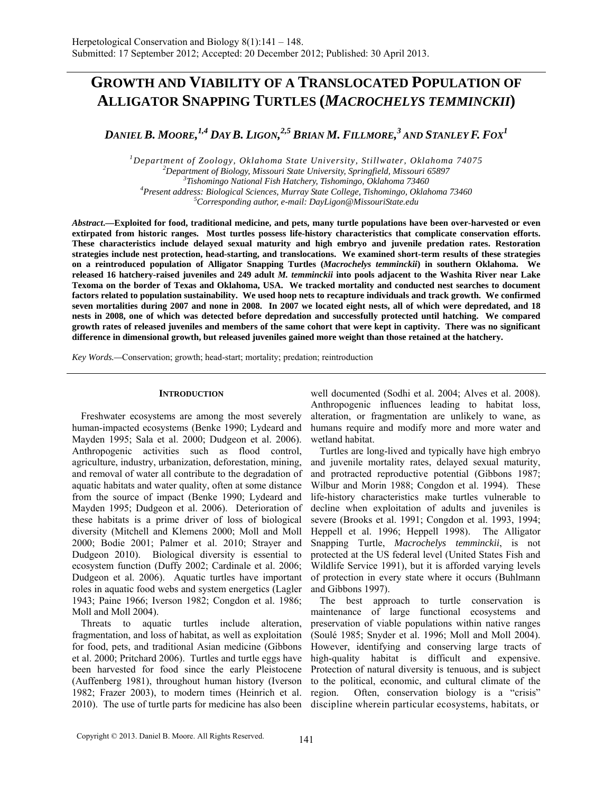## **GROWTH AND VIABILITY OF A TRANSLOCATED POPULATION OF ALLIGATOR SNAPPING TURTLES (***MACROCHELYS TEMMINCKII***)**

*DANIEL B. MOORE, 1,4 DAY B. LIGON, 2,5 BRIAN M. FILLMORE, 3 AND STANLEY F. FOX1*

<sup>1</sup><br> *Department of Zoology, Oklahoma State University, Stillwater, Oklahoma 74075*<br>
<sup>2</sup> Department of Bislam Missouri State University, Springfold Missouri 65907 <sup>2</sup>Department of Biology, Missouri State University, Springfield, Missouri 65897 *Tishomingo National Fish Hatchery, Tishomingo, Oklahoma 73460 4 Present address: Biological Sciences, Murray State College, Tishomingo, Oklahoma 73460 5 Corresponding author, e-mail: DayLigon@MissouriState.edu* 

*Abstract***.—Exploited for food, traditional medicine, and pets, many turtle populations have been over-harvested or even extirpated from historic ranges. Most turtles possess life-history characteristics that complicate conservation efforts. These characteristics include delayed sexual maturity and high embryo and juvenile predation rates. Restoration strategies include nest protection, head-starting, and translocations. We examined short-term results of these strategies on a reintroduced population of Alligator Snapping Turtles (***Macrochelys temminckii***) in southern Oklahoma. We released 16 hatchery-raised juveniles and 249 adult** *M. temminckii* **into pools adjacent to the Washita River near Lake Texoma on the border of Texas and Oklahoma, USA. We tracked mortality and conducted nest searches to document factors related to population sustainability. We used hoop nets to recapture individuals and track growth. We confirmed seven mortalities during 2007 and none in 2008. In 2007 we located eight nests, all of which were depredated, and 18 nests in 2008, one of which was detected before depredation and successfully protected until hatching. We compared growth rates of released juveniles and members of the same cohort that were kept in captivity. There was no significant difference in dimensional growth, but released juveniles gained more weight than those retained at the hatchery.** 

*Key Words.—*Conservation; growth; head-start; mortality; predation; reintroduction

#### **INTRODUCTION**

Freshwater ecosystems are among the most severely human-impacted ecosystems (Benke 1990; Lydeard and Mayden 1995; Sala et al. 2000; Dudgeon et al. 2006). Anthropogenic activities such as flood control, agriculture, industry, urbanization, deforestation, mining, and removal of water all contribute to the degradation of aquatic habitats and water quality, often at some distance from the source of impact (Benke 1990; Lydeard and Mayden 1995; Dudgeon et al. 2006). Deterioration of these habitats is a prime driver of loss of biological diversity (Mitchell and Klemens 2000; Moll and Moll 2000; Bodie 2001; Palmer et al. 2010; Strayer and Dudgeon 2010). Biological diversity is essential to ecosystem function (Duffy 2002; Cardinale et al. 2006; Dudgeon et al. 2006). Aquatic turtles have important roles in aquatic food webs and system energetics (Lagler 1943; Paine 1966; Iverson 1982; Congdon et al. 1986; Moll and Moll 2004).

Threats to aquatic turtles include alteration, fragmentation, and loss of habitat, as well as exploitation for food, pets, and traditional Asian medicine (Gibbons et al. 2000; Pritchard 2006). Turtles and turtle eggs have been harvested for food since the early Pleistocene (Auffenberg 1981), throughout human history (Iverson 1982; Frazer 2003), to modern times (Heinrich et al. 2010). The use of turtle parts for medicine has also been

well documented (Sodhi et al. 2004; Alves et al. 2008). Anthropogenic influences leading to habitat loss, alteration, or fragmentation are unlikely to wane, as humans require and modify more and more water and wetland habitat.

Turtles are long-lived and typically have high embryo and juvenile mortality rates, delayed sexual maturity, and protracted reproductive potential (Gibbons 1987; Wilbur and Morin 1988; Congdon et al. 1994). These life-history characteristics make turtles vulnerable to decline when exploitation of adults and juveniles is severe (Brooks et al. 1991; Congdon et al. 1993, 1994; Heppell et al. 1996; Heppell 1998). The Alligator Snapping Turtle, *Macrochelys temminckii*, is not protected at the US federal level (United States Fish and Wildlife Service 1991), but it is afforded varying levels of protection in every state where it occurs (Buhlmann and Gibbons 1997).

The best approach to turtle conservation is maintenance of large functional ecosystems and preservation of viable populations within native ranges (Soulé 1985; Snyder et al. 1996; Moll and Moll 2004). However, identifying and conserving large tracts of high-quality habitat is difficult and expensive. Protection of natural diversity is tenuous, and is subject to the political, economic, and cultural climate of the region. Often, conservation biology is a "crisis" discipline wherein particular ecosystems, habitats, or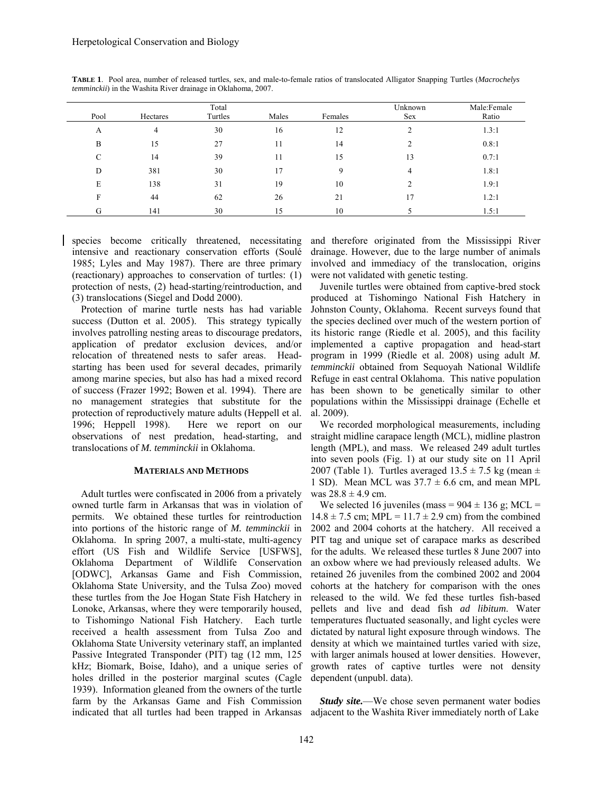|      |                | Total   |       |         | Unknown | Male:Female |
|------|----------------|---------|-------|---------|---------|-------------|
| Pool | Hectares       | Turtles | Males | Females | Sex     | Ratio       |
| A    | $\overline{4}$ | 30      | 16    | 12      | ◠       | 1.3:1       |
| B    | 15             | 27      | 11    | 14      |         | 0.8:1       |
| C    | 14             | 39      | 11    | 15      | 13      | 0.7:1       |
| D    | 381            | 30      | 17    | 9       | 4       | 1.8:1       |
| E    | 138            | 31      | 19    | 10      |         | 1.9:1       |
| F    | 44             | 62      | 26    | 21      | 17      | 1.2:1       |
| G    | 141            | 30      | 15    | 10      |         | 1.5:1       |

**TABLE 1**. Pool area, number of released turtles, sex, and male-to-female ratios of translocated Alligator Snapping Turtles (*Macrochelys temminckii*) in the Washita River drainage in Oklahoma, 2007.

species become critically threatened, necessitating intensive and reactionary conservation efforts (Soulé 1985; Lyles and May 1987). There are three primary (reactionary) approaches to conservation of turtles: (1) protection of nests, (2) head-starting/reintroduction, and (3) translocations (Siegel and Dodd 2000).

Protection of marine turtle nests has had variable success (Dutton et al. 2005). This strategy typically involves patrolling nesting areas to discourage predators, application of predator exclusion devices, and/or relocation of threatened nests to safer areas. Headstarting has been used for several decades, primarily among marine species, but also has had a mixed record of success (Frazer 1992; Bowen et al. 1994). There are no management strategies that substitute for the protection of reproductively mature adults (Heppell et al. 1996; Heppell 1998). Here we report on our observations of nest predation, head-starting, and translocations of *M. temminckii* in Oklahoma.

#### **MATERIALS AND METHODS**

Adult turtles were confiscated in 2006 from a privately owned turtle farm in Arkansas that was in violation of permits. We obtained these turtles for reintroduction into portions of the historic range of *M. temminckii* in Oklahoma. In spring 2007, a multi-state, multi-agency effort (US Fish and Wildlife Service [USFWS], Oklahoma Department of Wildlife Conservation [ODWC], Arkansas Game and Fish Commission, Oklahoma State University, and the Tulsa Zoo) moved these turtles from the Joe Hogan State Fish Hatchery in Lonoke, Arkansas, where they were temporarily housed, to Tishomingo National Fish Hatchery. Each turtle received a health assessment from Tulsa Zoo and Oklahoma State University veterinary staff, an implanted Passive Integrated Transponder (PIT) tag (12 mm, 125 kHz; Biomark, Boise, Idaho), and a unique series of holes drilled in the posterior marginal scutes (Cagle 1939). Information gleaned from the owners of the turtle farm by the Arkansas Game and Fish Commission indicated that all turtles had been trapped in Arkansas adjacent to the Washita River immediately north of Lake

and therefore originated from the Mississippi River drainage. However, due to the large number of animals involved and immediacy of the translocation, origins were not validated with genetic testing.

Juvenile turtles were obtained from captive-bred stock produced at Tishomingo National Fish Hatchery in Johnston County, Oklahoma. Recent surveys found that the species declined over much of the western portion of its historic range (Riedle et al. 2005), and this facility implemented a captive propagation and head-start program in 1999 (Riedle et al. 2008) using adult *M. temminckii* obtained from Sequoyah National Wildlife Refuge in east central Oklahoma. This native population has been shown to be genetically similar to other populations within the Mississippi drainage (Echelle et al. 2009).

We recorded morphological measurements, including straight midline carapace length (MCL), midline plastron length (MPL), and mass. We released 249 adult turtles into seven pools (Fig. 1) at our study site on 11 April 2007 (Table 1). Turtles averaged  $13.5 \pm 7.5$  kg (mean  $\pm$ 1 SD). Mean MCL was  $37.7 \pm 6.6$  cm, and mean MPL was  $28.8 \pm 4.9$  cm.

We selected 16 juveniles (mass =  $904 \pm 136$  g; MCL =  $14.8 \pm 7.5$  cm; MPL =  $11.7 \pm 2.9$  cm) from the combined 2002 and 2004 cohorts at the hatchery. All received a PIT tag and unique set of carapace marks as described for the adults. We released these turtles 8 June 2007 into an oxbow where we had previously released adults. We retained 26 juveniles from the combined 2002 and 2004 cohorts at the hatchery for comparison with the ones released to the wild. We fed these turtles fish-based pellets and live and dead fish *ad libitum*. Water temperatures fluctuated seasonally, and light cycles were dictated by natural light exposure through windows. The density at which we maintained turtles varied with size, with larger animals housed at lower densities. However, growth rates of captive turtles were not density dependent (unpubl. data).

*Study site.*—We chose seven permanent water bodies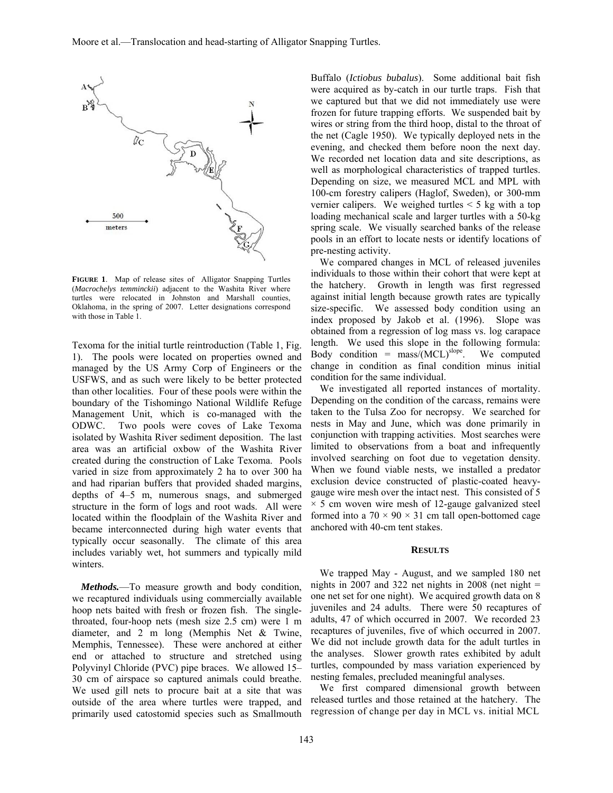

**FIGURE 1**. Map of release sites of Alligator Snapping Turtles (*Macrochelys temminckii*) adjacent to the Washita River where turtles were relocated in Johnston and Marshall counties, Oklahoma, in the spring of 2007. Letter designations correspond with those in Table 1.

Texoma for the initial turtle reintroduction (Table 1, Fig. 1). The pools were located on properties owned and managed by the US Army Corp of Engineers or the USFWS, and as such were likely to be better protected than other localities. Four of these pools were within the boundary of the Tishomingo National Wildlife Refuge Management Unit, which is co-managed with the ODWC. Two pools were coves of Lake Texoma isolated by Washita River sediment deposition. The last area was an artificial oxbow of the Washita River created during the construction of Lake Texoma. Pools varied in size from approximately 2 ha to over 300 ha and had riparian buffers that provided shaded margins, depths of 4–5 m, numerous snags, and submerged structure in the form of logs and root wads. All were located within the floodplain of the Washita River and became interconnected during high water events that typically occur seasonally. The climate of this area includes variably wet, hot summers and typically mild winters.

*Methods.*—To measure growth and body condition, we recaptured individuals using commercially available hoop nets baited with fresh or frozen fish. The singlethroated, four-hoop nets (mesh size 2.5 cm) were 1 m diameter, and 2 m long (Memphis Net & Twine, Memphis, Tennessee). These were anchored at either end or attached to structure and stretched using Polyvinyl Chloride (PVC) pipe braces. We allowed 15– 30 cm of airspace so captured animals could breathe. We used gill nets to procure bait at a site that was outside of the area where turtles were trapped, and primarily used catostomid species such as Smallmouth Buffalo (*Ictiobus bubalus*). Some additional bait fish were acquired as by-catch in our turtle traps. Fish that we captured but that we did not immediately use were frozen for future trapping efforts. We suspended bait by wires or string from the third hoop, distal to the throat of the net (Cagle 1950). We typically deployed nets in the evening, and checked them before noon the next day. We recorded net location data and site descriptions, as well as morphological characteristics of trapped turtles. Depending on size, we measured MCL and MPL with 100-cm forestry calipers (Haglof, Sweden), or 300-mm vernier calipers. We weighed turtles  $\leq 5$  kg with a top loading mechanical scale and larger turtles with a 50-kg spring scale. We visually searched banks of the release pools in an effort to locate nests or identify locations of pre-nesting activity.

We compared changes in MCL of released juveniles individuals to those within their cohort that were kept at the hatchery. Growth in length was first regressed against initial length because growth rates are typically size-specific. We assessed body condition using an index proposed by Jakob et al. (1996). Slope was obtained from a regression of log mass vs. log carapace length. We used this slope in the following formula: Body condition =  $mass/(MCL)^{slope}$ . We computed change in condition as final condition minus initial condition for the same individual.

We investigated all reported instances of mortality. Depending on the condition of the carcass, remains were taken to the Tulsa Zoo for necropsy. We searched for nests in May and June, which was done primarily in conjunction with trapping activities. Most searches were limited to observations from a boat and infrequently involved searching on foot due to vegetation density. When we found viable nests, we installed a predator exclusion device constructed of plastic-coated heavygauge wire mesh over the intact nest. This consisted of 5  $\times$  5 cm woven wire mesh of 12-gauge galvanized steel formed into a  $70 \times 90 \times 31$  cm tall open-bottomed cage anchored with 40-cm tent stakes.

#### **RESULTS**

We trapped May - August, and we sampled 180 net nights in 2007 and 322 net nights in 2008 (net night  $=$ one net set for one night). We acquired growth data on 8 juveniles and 24 adults. There were 50 recaptures of adults, 47 of which occurred in 2007. We recorded 23 recaptures of juveniles, five of which occurred in 2007. We did not include growth data for the adult turtles in the analyses. Slower growth rates exhibited by adult turtles, compounded by mass variation experienced by nesting females, precluded meaningful analyses.

We first compared dimensional growth between released turtles and those retained at the hatchery. The regression of change per day in MCL vs. initial MCL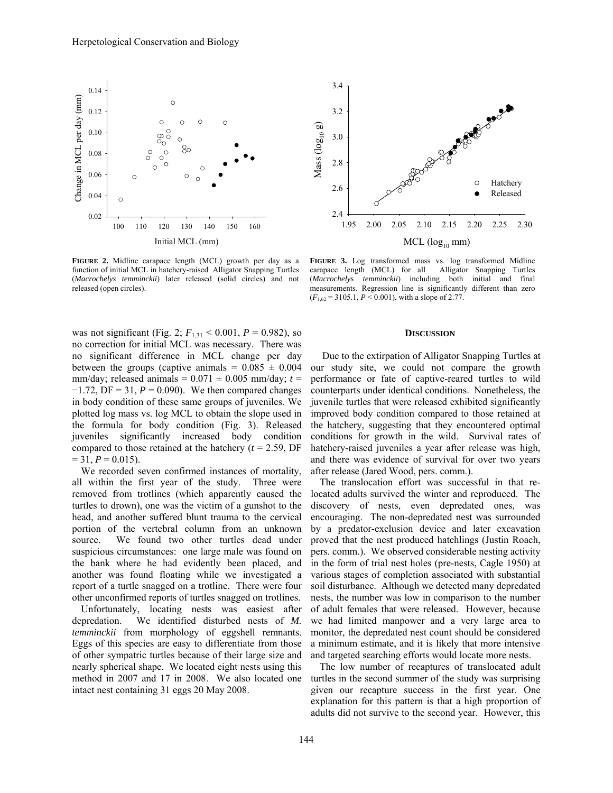

**FIGURE 2.** Midline carapace length (MCL) growth per day as a function of initial MCL in hatchery-raised Alligator Snapping Turtles (*Macrochelys temminckii*) later released (solid circles) and not released (open circles).

was not significant (Fig. 2;  $F_{1,31}$  < 0.001,  $P = 0.982$ ), so no correction for initial MCL was necessary. There was no significant difference in MCL change per day between the groups (captive animals =  $0.085 \pm 0.004$ mm/day; released animals =  $0.071 \pm 0.005$  mm/day;  $t =$ −1.72, DF = 31, *P* = 0.090). We then compared changes in body condition of these same groups of juveniles. We plotted log mass vs. log MCL to obtain the slope used in the formula for body condition (Fig. 3). Released juveniles significantly increased body condition compared to those retained at the hatchery  $(t = 2.59, DF)$  $= 31, P = 0.015$ .

We recorded seven confirmed instances of mortality, all within the first year of the study. Three were removed from trotlines (which apparently caused the turtles to drown), one was the victim of a gunshot to the head, and another suffered blunt trauma to the cervical portion of the vertebral column from an unknown source. We found two other turtles dead under suspicious circumstances: one large male was found on the bank where he had evidently been placed, and another was found floating while we investigated a report of a turtle snagged on a trotline. There were four other unconfirmed reports of turtles snagged on trotlines.

Unfortunately, locating nests was easiest after depredation. We identified disturbed nests of *M. temminckii* from morphology of eggshell remnants. Eggs of this species are easy to differentiate from those of other sympatric turtles because of their large size and nearly spherical shape. We located eight nests using this method in 2007 and 17 in 2008. We also located one intact nest containing 31 eggs 20 May 2008.



**FIGURE 3.** Log transformed mass vs. log transformed Midline carapace length (MCL) for all Alligator Snapping Turtles (*Macrochelys temminckii*) including both initial and final measurements. Regression line is significantly different than zero  $(F_{1,62} = 3105.1, P \le 0.001)$ , with a slope of 2.77.

#### **DISCUSSION**

 Due to the extirpation of Alligator Snapping Turtles at our study site, we could not compare the growth performance or fate of captive-reared turtles to wild counterparts under identical conditions. Nonetheless, the juvenile turtles that were released exhibited significantly improved body condition compared to those retained at the hatchery, suggesting that they encountered optimal conditions for growth in the wild. Survival rates of hatchery-raised juveniles a year after release was high, and there was evidence of survival for over two years after release (Jared Wood, pers. comm.).

The translocation effort was successful in that relocated adults survived the winter and reproduced. The discovery of nests, even depredated ones, was encouraging. The non-depredated nest was surrounded by a predator-exclusion device and later excavation proved that the nest produced hatchlings (Justin Roach, pers. comm.). We observed considerable nesting activity in the form of trial nest holes (pre-nests, Cagle 1950) at various stages of completion associated with substantial soil disturbance. Although we detected many depredated nests, the number was low in comparison to the number of adult females that were released. However, because we had limited manpower and a very large area to monitor, the depredated nest count should be considered a minimum estimate, and it is likely that more intensive and targeted searching efforts would locate more nests.

The low number of recaptures of translocated adult turtles in the second summer of the study was surprising given our recapture success in the first year. One explanation for this pattern is that a high proportion of adults did not survive to the second year. However, this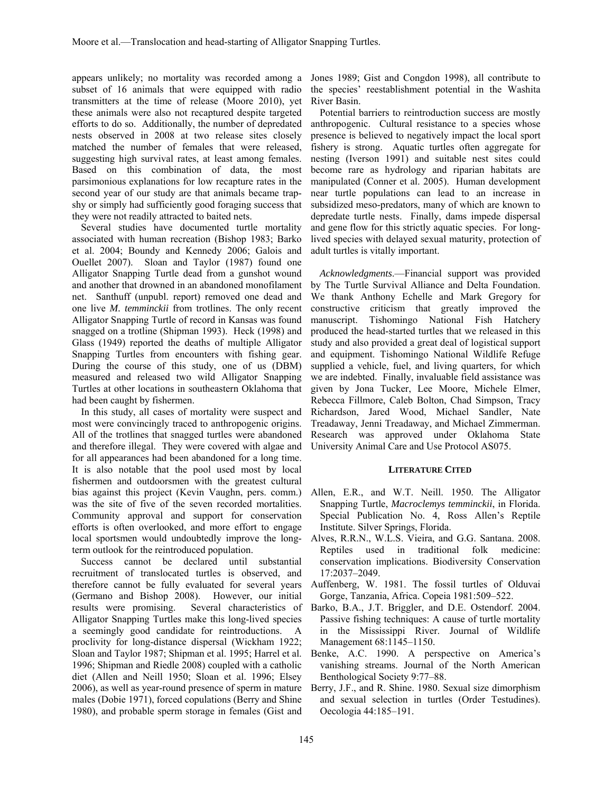appears unlikely; no mortality was recorded among a subset of 16 animals that were equipped with radio transmitters at the time of release (Moore 2010), yet these animals were also not recaptured despite targeted efforts to do so. Additionally, the number of depredated nests observed in 2008 at two release sites closely matched the number of females that were released, suggesting high survival rates, at least among females. Based on this combination of data, the most parsimonious explanations for low recapture rates in the second year of our study are that animals became trapshy or simply had sufficiently good foraging success that they were not readily attracted to baited nets.

Several studies have documented turtle mortality associated with human recreation (Bishop 1983; Barko et al. 2004; Boundy and Kennedy 2006; Galois and Ouellet 2007). Sloan and Taylor (1987) found one Alligator Snapping Turtle dead from a gunshot wound and another that drowned in an abandoned monofilament net. Santhuff (unpubl. report) removed one dead and one live *M. temminckii* from trotlines. The only recent Alligator Snapping Turtle of record in Kansas was found snagged on a trotline (Shipman 1993). Heck (1998) and Glass (1949) reported the deaths of multiple Alligator Snapping Turtles from encounters with fishing gear. During the course of this study, one of us (DBM) measured and released two wild Alligator Snapping Turtles at other locations in southeastern Oklahoma that had been caught by fishermen.

In this study, all cases of mortality were suspect and most were convincingly traced to anthropogenic origins. All of the trotlines that snagged turtles were abandoned and therefore illegal. They were covered with algae and for all appearances had been abandoned for a long time. It is also notable that the pool used most by local fishermen and outdoorsmen with the greatest cultural bias against this project (Kevin Vaughn, pers. comm.) was the site of five of the seven recorded mortalities. Community approval and support for conservation efforts is often overlooked, and more effort to engage local sportsmen would undoubtedly improve the longterm outlook for the reintroduced population.

Success cannot be declared until substantial recruitment of translocated turtles is observed, and therefore cannot be fully evaluated for several years (Germano and Bishop 2008). However, our initial results were promising. Several characteristics of Alligator Snapping Turtles make this long-lived species a seemingly good candidate for reintroductions. A proclivity for long-distance dispersal (Wickham 1922; Sloan and Taylor 1987; Shipman et al. 1995; Harrel et al. 1996; Shipman and Riedle 2008) coupled with a catholic diet (Allen and Neill 1950; Sloan et al. 1996; Elsey 2006), as well as year-round presence of sperm in mature males (Dobie 1971), forced copulations (Berry and Shine 1980), and probable sperm storage in females (Gist and

Jones 1989; Gist and Congdon 1998), all contribute to the species' reestablishment potential in the Washita River Basin.

Potential barriers to reintroduction success are mostly anthropogenic. Cultural resistance to a species whose presence is believed to negatively impact the local sport fishery is strong. Aquatic turtles often aggregate for nesting (Iverson 1991) and suitable nest sites could become rare as hydrology and riparian habitats are manipulated (Conner et al. 2005). Human development near turtle populations can lead to an increase in subsidized meso-predators, many of which are known to depredate turtle nests. Finally, dams impede dispersal and gene flow for this strictly aquatic species. For longlived species with delayed sexual maturity, protection of adult turtles is vitally important.

*Acknowledgments*.—Financial support was provided by The Turtle Survival Alliance and Delta Foundation. We thank Anthony Echelle and Mark Gregory for constructive criticism that greatly improved the manuscript. Tishomingo National Fish Hatchery produced the head-started turtles that we released in this study and also provided a great deal of logistical support and equipment. Tishomingo National Wildlife Refuge supplied a vehicle, fuel, and living quarters, for which we are indebted. Finally, invaluable field assistance was given by Jona Tucker, Lee Moore, Michele Elmer, Rebecca Fillmore, Caleb Bolton, Chad Simpson, Tracy Richardson, Jared Wood, Michael Sandler, Nate Treadaway, Jenni Treadaway, and Michael Zimmerman. Research was approved under Oklahoma State University Animal Care and Use Protocol AS075.

#### **LITERATURE CITED**

- Allen, E.R., and W.T. Neill. 1950. The Alligator Snapping Turtle, *Macroclemys temminckii*, in Florida. Special Publication No. 4, Ross Allen's Reptile Institute. Silver Springs, Florida.
- Alves, R.R.N., W.L.S. Vieira, and G.G. Santana. 2008. Reptiles used in traditional folk medicine: conservation implications. Biodiversity Conservation 17:2037–2049.
- Auffenberg, W. 1981. The fossil turtles of Olduvai Gorge, Tanzania, Africa. Copeia 1981:509–522.
- Barko, B.A., J.T. Briggler, and D.E. Ostendorf. 2004. Passive fishing techniques: A cause of turtle mortality in the Mississippi River. Journal of Wildlife Management 68:1145–1150.
- Benke, A.C. 1990. A perspective on America's vanishing streams. Journal of the North American Benthological Society 9:77–88.
- Berry, J.F., and R. Shine. 1980. Sexual size dimorphism and sexual selection in turtles (Order Testudines). Oecologia 44:185–191.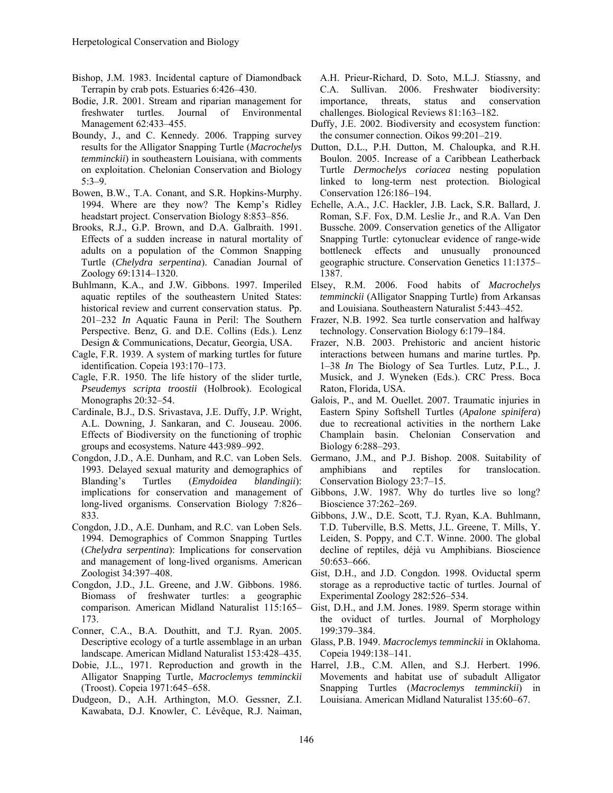- Bishop, J.M. 1983. Incidental capture of Diamondback Terrapin by crab pots. Estuaries 6:426–430.
- Bodie, J.R. 2001. Stream and riparian management for freshwater turtles. Journal of Environmental Management 62:433–455.
- Boundy, J., and C. Kennedy. 2006. Trapping survey results for the Alligator Snapping Turtle (*Macrochelys temminckii*) in southeastern Louisiana, with comments on exploitation. Chelonian Conservation and Biology 5:3–9.
- Bowen, B.W., T.A. Conant, and S.R. Hopkins-Murphy. 1994. Where are they now? The Kemp's Ridley headstart project. Conservation Biology 8:853–856.
- Brooks, R.J., G.P. Brown, and D.A. Galbraith. 1991. Effects of a sudden increase in natural mortality of adults on a population of the Common Snapping Turtle (*Chelydra serpentina*). Canadian Journal of Zoology 69:1314–1320.
- Buhlmann, K.A., and J.W. Gibbons. 1997. Imperiled aquatic reptiles of the southeastern United States: historical review and current conservation status. Pp. 201–232 *In* Aquatic Fauna in Peril: The Southern Perspective. Benz, G. and D.E. Collins (Eds.). Lenz Design & Communications, Decatur, Georgia, USA.
- Cagle, F.R. 1939. A system of marking turtles for future identification. Copeia 193:170–173.
- Cagle, F.R. 1950. The life history of the slider turtle, *Pseudemys scripta troostii* (Holbrook). Ecological Monographs 20:32–54.
- Cardinale, B.J., D.S. Srivastava, J.E. Duffy, J.P. Wright, A.L. Downing, J. Sankaran, and C. Jouseau. 2006. Effects of Biodiversity on the functioning of trophic groups and ecosystems. Nature 443:989–992.
- Congdon, J.D., A.E. Dunham, and R.C. van Loben Sels. 1993. Delayed sexual maturity and demographics of Blanding's Turtles (*Emydoidea blandingii*): implications for conservation and management of long-lived organisms. Conservation Biology 7:826– 833.
- Congdon, J.D., A.E. Dunham, and R.C. van Loben Sels. 1994. Demographics of Common Snapping Turtles (*Chelydra serpentina*): Implications for conservation and management of long-lived organisms. American Zoologist 34:397–408.
- Congdon, J.D., J.L. Greene, and J.W. Gibbons. 1986. Biomass of freshwater turtles: a geographic 173.
- Conner, C.A., B.A. Douthitt, and T.J. Ryan. 2005. Descriptive ecology of a turtle assemblage in an urban landscape. American Midland Naturalist 153:428–435.
- Dobie, J.L., 1971. Reproduction and growth in the Alligator Snapping Turtle, *Macroclemys temminckii* (Troost). Copeia 1971:645–658.
- Dudgeon, D., A.H. Arthington, M.O. Gessner, Z.I. Kawabata, D.J. Knowler, C. Lévêque, R.J. Naiman,

A.H. Prieur-Richard, D. Soto, M.L.J. Stiassny, and C.A. Sullivan. 2006. Freshwater biodiversity: importance, threats, status and conservation challenges. Biological Reviews 81:163–182.

- Duffy, J.E. 2002. Biodiversity and ecosystem function: the consumer connection. Oikos 99:201–219.
- Dutton, D.L., P.H. Dutton, M. Chaloupka, and R.H. Boulon. 2005. Increase of a Caribbean Leatherback Turtle *Dermochelys coriacea* nesting population linked to long-term nest protection. Biological Conservation 126:186–194.
- Echelle, A.A., J.C. Hackler, J.B. Lack, S.R. Ballard, J. Roman, S.F. Fox, D.M. Leslie Jr., and R.A. Van Den Bussche. 2009. Conservation genetics of the Alligator Snapping Turtle: cytonuclear evidence of range-wide bottleneck effects and unusually pronounced geographic structure. Conservation Genetics 11:1375– 1387.
- Elsey, R.M. 2006. Food habits of *Macrochelys temminckii* (Alligator Snapping Turtle) from Arkansas and Louisiana. Southeastern Naturalist 5:443–452.
- Frazer, N.B. 1992. Sea turtle conservation and halfway technology. Conservation Biology 6:179–184.
- Frazer, N.B. 2003. Prehistoric and ancient historic interactions between humans and marine turtles. Pp. 1–38 *In* The Biology of Sea Turtles. Lutz, P.L., J. Musick, and J. Wyneken (Eds.). CRC Press. Boca Raton, Florida, USA.
- Galois, P., and M. Ouellet. 2007. Traumatic injuries in Eastern Spiny Softshell Turtles (*Apalone spinifera*) due to recreational activities in the northern Lake Champlain basin. Chelonian Conservation and Biology 6:288–293.
- Germano, J.M., and P.J. Bishop. 2008. Suitability of amphibians and reptiles for translocation. Conservation Biology 23:7–15.
- Gibbons, J.W. 1987. Why do turtles live so long? Bioscience 37:262–269.
- Gibbons, J.W., D.E. Scott, T.J. Ryan, K.A. Buhlmann, T.D. Tuberville, B.S. Metts, J.L. Greene, T. Mills, Y. Leiden, S. Poppy, and C.T. Winne. 2000. The global decline of reptiles, déjà vu Amphibians. Bioscience 50:653–666.
- Gist, D.H., and J.D. Congdon. 1998. Oviductal sperm storage as a reproductive tactic of turtles. Journal of Experimental Zoology 282:526–534.
- comparison. American Midland Naturalist 115:165– Gist, D.H., and J.M. Jones. 1989. Sperm storage within the oviduct of turtles. Journal of Morphology 199:379–384.
	- Glass, P.B. 1949. *Macroclemys temminckii* in Oklahoma. Copeia 1949:138–141.
	- Harrel, J.B., C.M. Allen, and S.J. Herbert. 1996. Movements and habitat use of subadult Alligator Snapping Turtles (*Macroclemys temminckii*) in Louisiana. American Midland Naturalist 135:60–67.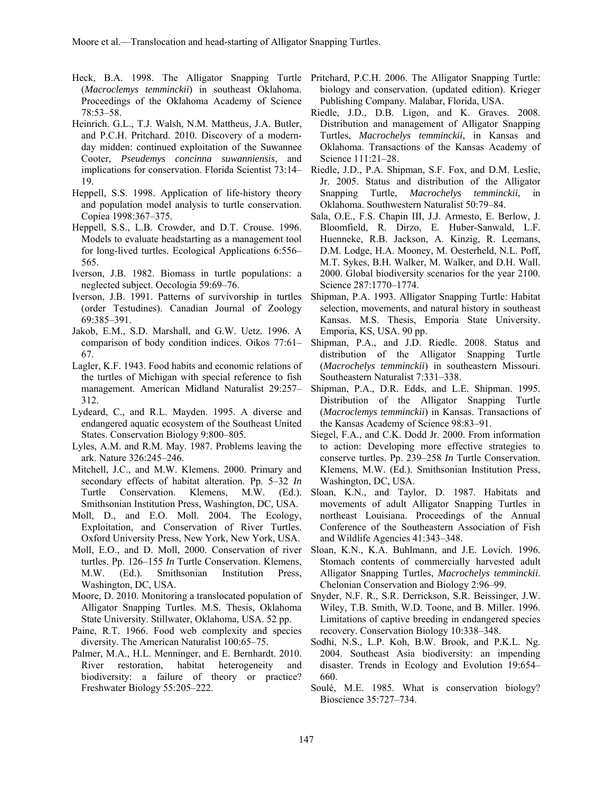- (*Macroclemys temminckii*) in southeast Oklahoma. Proceedings of the Oklahoma Academy of Science 78:53–58.
- Heinrich. G.L., T.J. Walsh, N.M. Mattheus, J.A. Butler, and P.C.H. Pritchard. 2010. Discovery of a modernday midden: continued exploitation of the Suwannee Cooter, *Pseudemys concinna suwanniensis*, and implications for conservation. Florida Scientist 73:14– 19.
- Heppell, S.S. 1998. Application of life-history theory and population model analysis to turtle conservation. Copiea 1998:367–375.
- Heppell, S.S., L.B. Crowder, and D.T. Crouse. 1996. Models to evaluate headstarting as a management tool for long-lived turtles. Ecological Applications 6:556– 565.
- Iverson, J.B. 1982. Biomass in turtle populations: a neglected subject. Oecologia 59:69–76.
- Iverson, J.B. 1991. Patterns of survivorship in turtles (order Testudines). Canadian Journal of Zoology 69:385–391.
- Jakob, E.M., S.D. Marshall, and G.W. Uetz. 1996. A 67.
- Lagler, K.F. 1943. Food habits and economic relations of the turtles of Michigan with special reference to fish management. American Midland Naturalist 29:257– 312.
- Lydeard, C., and R.L. Mayden. 1995. A diverse and endangered aquatic ecosystem of the Southeast United States. Conservation Biology 9:800–805.
- Lyles, A.M. and R.M. May. 1987. Problems leaving the ark. Nature 326:245–246.
- Mitchell, J.C., and M.W. Klemens. 2000. Primary and secondary effects of habitat alteration. Pp. 5–32 *In* Turtle Conservation. Klemens, M.W. (Ed.). Smithsonian Institution Press, Washington, DC, USA.
- Moll, D., and E.O. Moll. 2004. The Ecology, Exploitation, and Conservation of River Turtles. Oxford University Press, New York, New York, USA.
- Moll, E.O., and D. Moll, 2000. Conservation of river turtles. Pp. 126–155 *In* Turtle Conservation. Klemens, M.W. (Ed.). Smithsonian Institution Press, Washington, DC, USA.
- Moore, D. 2010. Monitoring a translocated population of Alligator Snapping Turtles. M.S. Thesis, Oklahoma State University. Stillwater, Oklahoma, USA. 52 pp.
- Paine, R.T. 1966. Food web complexity and species diversity. The American Naturalist 100:65–75.
- Palmer, M.A., H.L. Menninger, and E. Bernhardt. 2010. River restoration, habitat heterogeneity and biodiversity: a failure of theory or practice? Freshwater Biology 55:205–222.
- Heck, B.A. 1998. The Alligator Snapping Turtle Pritchard, P.C.H. 2006. The Alligator Snapping Turtle: biology and conservation. (updated edition). Krieger Publishing Company. Malabar, Florida, USA.
	- Riedle, J.D., D.B. Ligon, and K. Graves. 2008. Distribution and management of Alligator Snapping Turtles, *Macrochelys temminckii*, in Kansas and Oklahoma. Transactions of the Kansas Academy of Science 111:21–28.
	- Riedle, J.D., P.A. Shipman, S.F. Fox, and D.M. Leslie, Jr. 2005. Status and distribution of the Alligator Snapping Turtle, *Macrochelys temminckii*, in Oklahoma. Southwestern Naturalist 50:79–84.
	- Sala, O.E., F.S. Chapin III, J.J. Armesto, E. Berlow, J. Bloomfield, R. Dirzo, E. Huber-Sanwald, L.F. Huenneke, R.B. Jackson, A. Kinzig, R. Leemans, D.M. Lodge, H.A. Mooney, M. Oesterheld, N.L. Poff, M.T. Sykes, B.H. Walker, M. Walker, and D.H. Wall. 2000. Global biodiversity scenarios for the year 2100. Science 287:1770–1774.
	- Shipman, P.A. 1993. Alligator Snapping Turtle: Habitat selection, movements, and natural history in southeast Kansas. M.S. Thesis, Emporia State University. Emporia, KS, USA. 90 pp.
	- comparison of body condition indices. Oikos 77:61– Shipman, P.A., and J.D. Riedle. 2008. Status and distribution of the Alligator Snapping Turtle (*Macrochelys temminckii*) in southeastern Missouri. Southeastern Naturalist 7:331–338.
		- Shipman, P.A., D.R. Edds, and L.E. Shipman. 1995. Distribution of the Alligator Snapping Turtle (*Macroclemys temminckii*) in Kansas. Transactions of the Kansas Academy of Science 98:83–91.
		- Siegel, F.A., and C.K. Dodd Jr. 2000. From information to action: Developing more effective strategies to conserve turtles. Pp. 239–258 *In* Turtle Conservation. Klemens, M.W. (Ed.). Smithsonian Institution Press, Washington, DC, USA.
		- Sloan, K.N., and Taylor, D. 1987. Habitats and movements of adult Alligator Snapping Turtles in northeast Louisiana. Proceedings of the Annual Conference of the Southeastern Association of Fish and Wildlife Agencies 41:343–348.
		- Sloan, K.N., K.A. Buhlmann, and J.E. Lovich. 1996. Stomach contents of commercially harvested adult Alligator Snapping Turtles, *Macrochelys temminckii*. Chelonian Conservation and Biology 2:96–99.
		- Snyder, N.F. R., S.R. Derrickson, S.R. Beissinger, J.W. Wiley, T.B. Smith, W.D. Toone, and B. Miller. 1996. Limitations of captive breeding in endangered species recovery. Conservation Biology 10:338–348.
		- Sodhi, N.S., L.P. Koh, B.W. Brook, and P.K.L. Ng. 2004. Southeast Asia biodiversity: an impending disaster. Trends in Ecology and Evolution 19:654– 660.
		- Soulé, M.E. 1985. What is conservation biology? Bioscience 35:727–734.